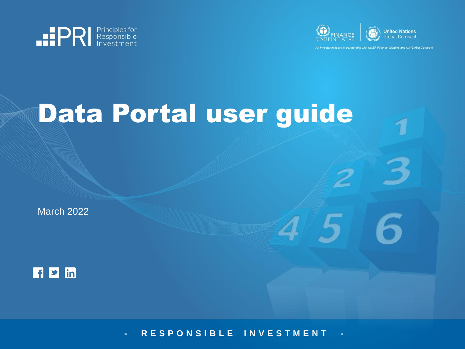



stor initiative in partnership with UNEP Finance Initiative and UN Global Compact

# Data Portal user guide

March 2022



**- R E S P O N S I B L E I N V E S T M E N T -**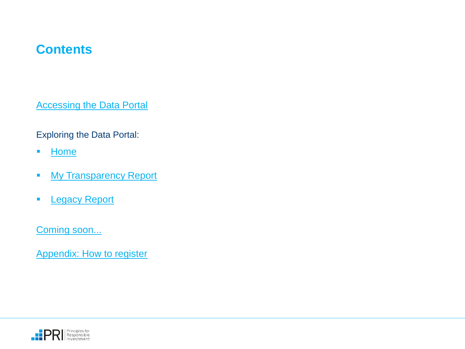## **Contents**

**[Accessing the Data Portal](#page-2-0)** 

Exploring the Data Portal:

- [Home](#page-3-0)
- **■** [My Transparency Report](#page-4-0)
- **E** [Legacy Report](#page-6-0)

[Coming soon...](#page-8-0)

[Appendix: How to register](#page-10-0)

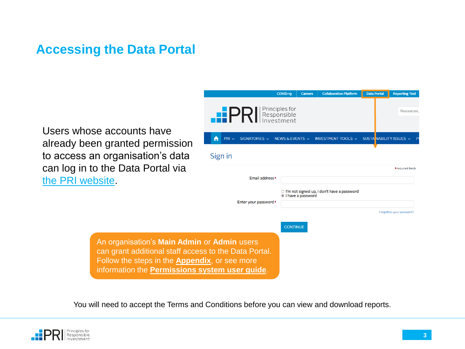#### <span id="page-2-0"></span>**Accessing the Data Portal**

Users whose accounts have already been granted permis to access an organisation's d can log in to the Data Portal [the PRI website.](https://www.unpri.org/)

|                                                                                                                                                                                                                 |                                               | COVID-19<br><b>Careers</b>                                         | <b>Collaboration Platform</b>                      | <b>Data Portal</b>      | <b>Reporting Tool</b>    |
|-----------------------------------------------------------------------------------------------------------------------------------------------------------------------------------------------------------------|-----------------------------------------------|--------------------------------------------------------------------|----------------------------------------------------|-------------------------|--------------------------|
| e accounts have                                                                                                                                                                                                 | .e P<br>SIGNATORIES $\sim$<br>$PRI \sim$<br>A | Principles for<br>Responsible<br>nvestment<br>NEWS & EVENTS $\sim$ | INVESTMENT TOOLS $\sim$                            | SUSTA NABILITY ISSUES ~ | Resources                |
| n granted permission<br>n organisation's data<br>o the Data Portal via                                                                                                                                          | Sign in                                       |                                                                    |                                                    |                         | * required fields        |
| psite.                                                                                                                                                                                                          | Email address*                                |                                                                    |                                                    |                         |                          |
|                                                                                                                                                                                                                 | Enter your password*                          | I have a password                                                  | $\circ$ I'm not signed up, I don't have a password |                         |                          |
|                                                                                                                                                                                                                 |                                               |                                                                    |                                                    |                         | Forgotten your password? |
|                                                                                                                                                                                                                 |                                               | <b>CONTINUE</b>                                                    |                                                    |                         |                          |
| An organisation's Main Admin or Admin users<br>can grant additional staff access to the Data Portal.<br>Follow the steps in the <b>Appendix</b> , or see more<br>information the Permissions system user guide. |                                               |                                                                    |                                                    |                         |                          |

You will need to accept the Terms and Conditions before you can view and download reports.

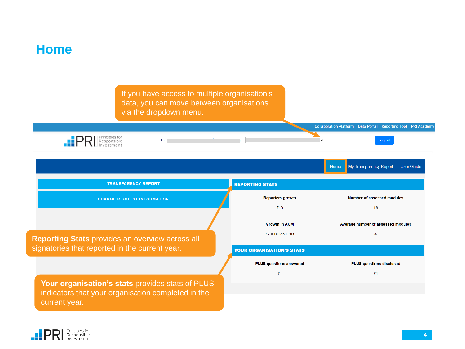<span id="page-3-0"></span>

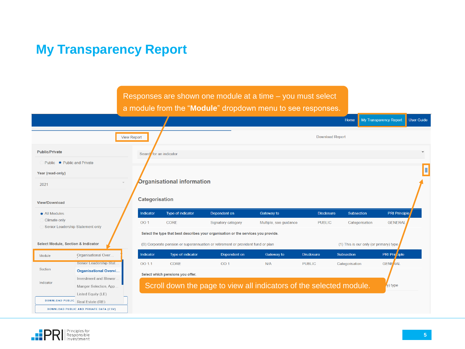# <span id="page-4-0"></span>**My Transparency Report**



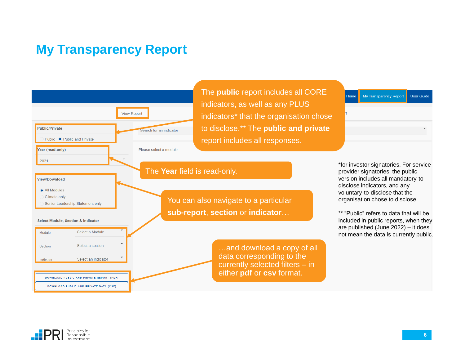## **My Transparency Report**



The **public** report includes all CORE indicators, as well as any PLUS indicators\* that the organisation chose to disclose.\*\* The **public and private**  report includes all responses.

You can also navigate to a particular **sub-report**, **section** or **indicator**…

> …and download a copy of all data corresponding to the currently selected filters – in either **pdf** or **csv** format.

\*for investor signatories. For service provider signatories, the public version includes all mandatory-todisclose indicators, and any voluntary-to-disclose that the organisation chose to disclose.

My Transparency Report

Home

User Guide

\*\* "Public" refers to data that will be included in public reports, when they are published (June 2022) – it does not mean the data is currently public.

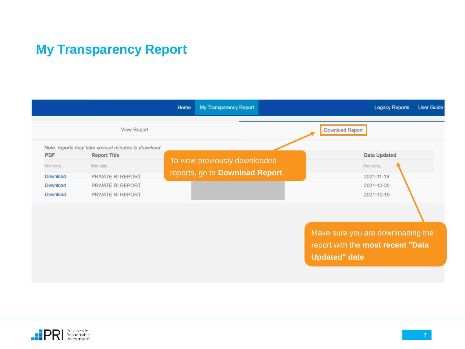# <span id="page-6-0"></span>**My Transparency Report**

|             |                                                    | Home | <b>My Transparency Report</b>   |                                      | <b>Legacy Reports</b> | <b>User Guide</b> |
|-------------|----------------------------------------------------|------|---------------------------------|--------------------------------------|-----------------------|-------------------|
|             | <b>View Report</b>                                 |      |                                 | <b>Download Report</b>               |                       |                   |
|             | Note: reports may take several minutes to download |      |                                 |                                      |                       |                   |
| <b>PDF</b>  | <b>Report Title</b>                                |      |                                 |                                      | <b>Data Updated</b>   |                   |
| filter data | filter data                                        |      | To view previously downloaded   |                                      | filter data           |                   |
| Download    | PRIVATE RI REPORT                                  |      | reports, go to Download Report. |                                      | 2021-11-19            |                   |
| Download    | PRIVATE RI REPORT                                  |      |                                 |                                      | 2021-10-20            |                   |
| Download    | <b>PRIVATE RI REPORT</b>                           |      |                                 |                                      | 2021-10-19            |                   |
|             |                                                    |      |                                 |                                      |                       |                   |
|             |                                                    |      |                                 |                                      |                       |                   |
|             |                                                    |      |                                 | Make auto you are douglass direction |                       |                   |

Make sure you are downloading the report with the **most recent "Data Updated" date**

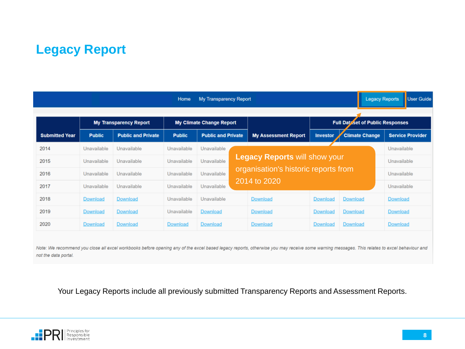# **Legacy Report**

|                                                                  |                 |                           | Home          | <b>My Transparency Report</b> |                                                                              |                                         | <b>Legacy Reports</b> | <b>User Guide</b>       |
|------------------------------------------------------------------|-----------------|---------------------------|---------------|-------------------------------|------------------------------------------------------------------------------|-----------------------------------------|-----------------------|-------------------------|
| <b>My Transparency Report</b><br><b>My Climate Change Report</b> |                 |                           |               |                               |                                                                              | <b>Full Dataset of Public Responses</b> |                       |                         |
| <b>Submitted Year</b>                                            | <b>Public</b>   | <b>Public and Private</b> | <b>Public</b> | <b>Public and Private</b>     | <b>My Assessment Report</b>                                                  | <b>Investor</b>                         | <b>Climate Change</b> | <b>Service Provider</b> |
| 2014                                                             | Unavailable     | Unavailable               | Unavailable   | Unavailable                   |                                                                              |                                         |                       | Unavailable             |
| 2015                                                             | Unavailable     | Unavailable               | Unavailable   | Unavailable                   | <b>Legacy Reports will show your</b><br>organisation's historic reports from |                                         |                       | Unavailable             |
| 2016                                                             | Unavailable     | Unavailable               | Unavailable   | Unavailable                   |                                                                              |                                         |                       | Unavailable             |
| 2017                                                             | Unavailable     | Unavailable               | Unavailable   | Unavailable                   | 2014 to 2020                                                                 |                                         |                       | Unavailable             |
| 2018                                                             | <b>Download</b> | <b>Download</b>           | Unavailable   | Unavailable                   | <b>Download</b>                                                              | Download                                | <b>Download</b>       | Download                |
| 2019                                                             | <b>Download</b> | <b>Download</b>           | Unavailable   | <b>Download</b>               | <b>Download</b>                                                              | Download                                | <b>Download</b>       | <b>Download</b>         |
| 2020                                                             | <b>Download</b> | <b>Download</b>           | Download      | <b>Download</b>               | <b>Download</b>                                                              | <b>Download</b>                         | <b>Download</b>       | <b>Download</b>         |

Note: We recommend you close all excel workbooks before opening any of the excel based legacy reports, otherwise you may receive some warning messages. This relates to excel behaviour and not the data portal.

Your Legacy Reports include all previously submitted Transparency Reports and Assessment Reports.

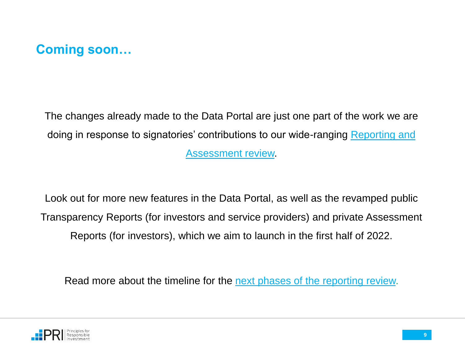<span id="page-8-0"></span>

The changes already made to the Data Portal are just one part of the work we are doing in response to signatori[es' contributions to our wide-ranging Reporting and](https://www.unpri.org/reporting-and-assessment/reporting-and-assessment-review/5105.article)  Assessment review.

Look out for more new features in the Data Portal, as well as the revamped public Transparency Reports (for investors and service providers) and private Assessment Reports (for investors), which we aim to launch in the first half of 2022.

Read more about the timeline for the [next phases of the reporting review.](https://www.unpri.org/signatories/reporting-and-assessment#update)

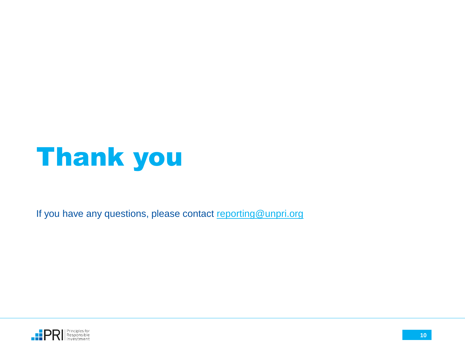

If you have any questions, please contact [reporting@unpri.org](mailto:reporting@unpri.org)

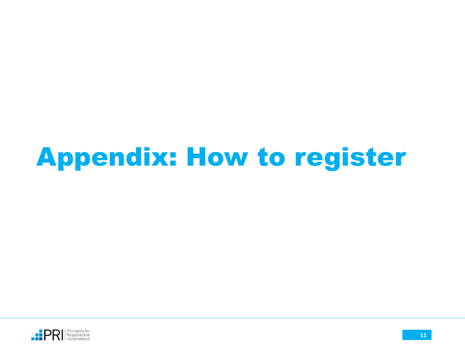# <span id="page-10-0"></span>Appendix: How to register

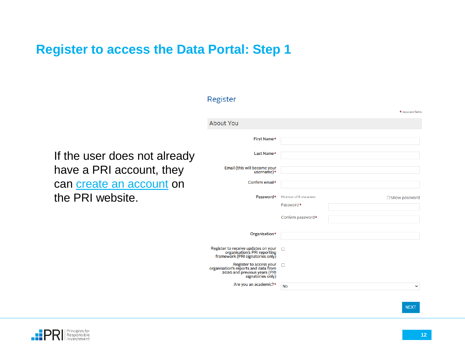# **Register to access the Data Portal: Step 1**

|                              | Register                                                                                                             |                                      |                   |
|------------------------------|----------------------------------------------------------------------------------------------------------------------|--------------------------------------|-------------------|
|                              |                                                                                                                      |                                      | * required fields |
|                              | <b>About You</b>                                                                                                     |                                      |                   |
|                              | First Name*                                                                                                          |                                      |                   |
| If the user does not already | Last Name*                                                                                                           |                                      |                   |
| have a PRI account, they     | Email (this will become your<br>username)*                                                                           |                                      |                   |
| can create an account on     | Confirm email*                                                                                                       |                                      |                   |
| the PRI website.             | Password*                                                                                                            | Minimum of 8 characters<br>Password* | □ Show password   |
|                              |                                                                                                                      | Confirm password*                    |                   |
|                              | Organisation*                                                                                                        |                                      |                   |
|                              | Register to receive updates on your<br>organisation's PRI reporting<br>framework (PRI signatories only)              | $\Box$                               |                   |
|                              | Register to access your<br>organisation's reports and data from<br>2020 and previous years (PRI<br>signatories only) | $\Box$                               |                   |
|                              | Are you an academic?*                                                                                                | <b>No</b>                            | $\check{~}$       |



**NEXT**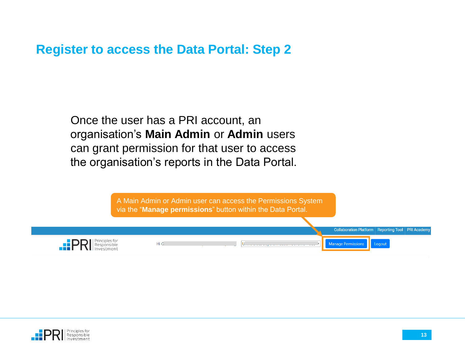#### **Register to access the Data Portal: Step 2**

Once the user has a PRI account, an organisation's **Main Admin** or **Admin** users can grant permission for that user to access the organisation's reports in the Data Portal.

> A Main Admin or Admin user can access the Permissions System via the "**Manage permissions**" button within the Data Portal.



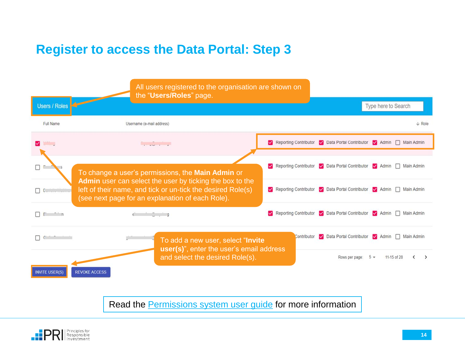## **Register to access the Data Portal: Step 3**



Read the [Permissions system user guide](https://www.unpri.org/download?ac=12447) for more information